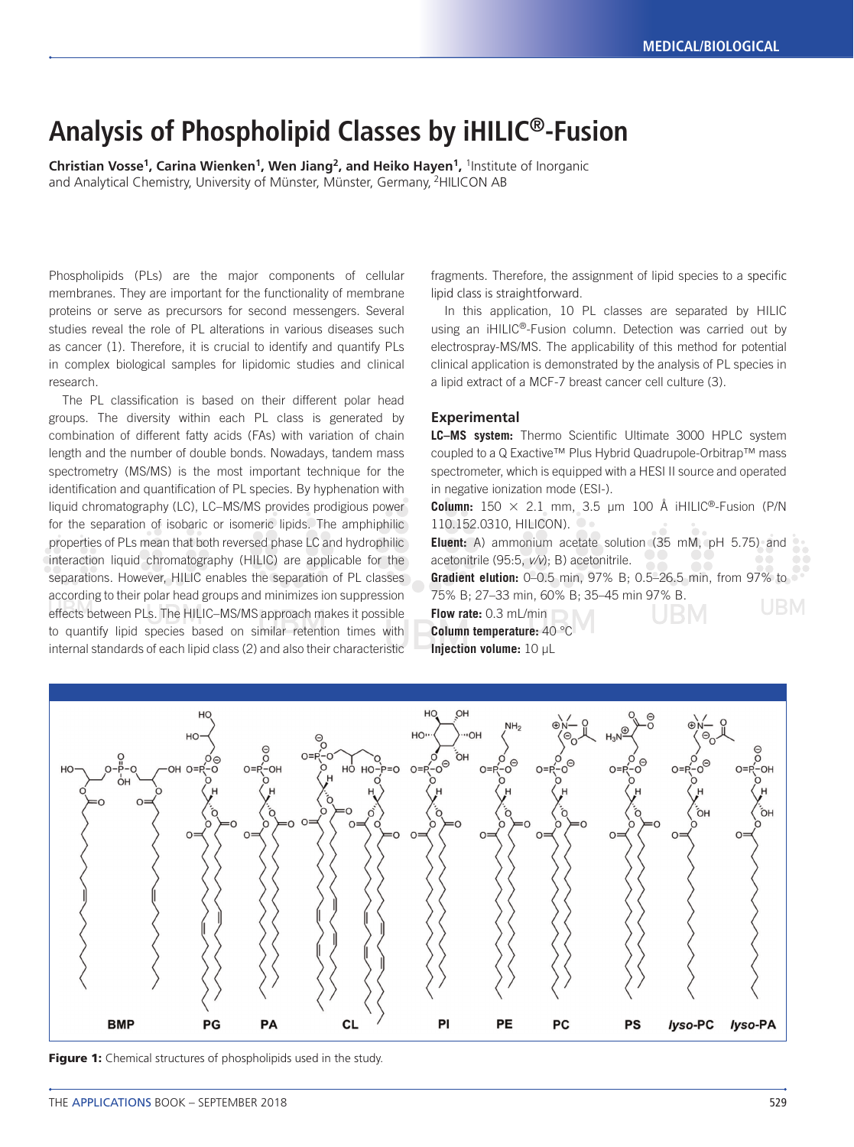# **Analysis of Phospholipid Classes by iHILIC®-Fusion**

**Christian Vosse<sup>1</sup>, Carina Wienken<sup>1</sup>, Wen Jiang<sup>2</sup>, and Heiko Hayen<sup>1</sup>, <sup>1</sup>Institute of Inorganic** and Analytical Chemistry, University of Münster, Münster, Germany, 2HILICON AB

Phospholipids (PLs) are the major components of cellular membranes. They are important for the functionality of membrane proteins or serve as precursors for second messengers. Several studies reveal the role of PL alterations in various diseases such as cancer (1). Therefore, it is crucial to identify and quantify PLs in complex biological samples for lipidomic studies and clinical research.

The PL classification is based on their different polar head groups. The diversity within each PL class is generated by combination of different fatty acids (FAs) with variation of chain length and the number of double bonds. Nowadays, tandem mass spectrometry (MS/MS) is the most important technique for the identification and quantification of PL species. By hyphenation with liquid chromatography (LC), LC–MS/MS provides prodigious power for the separation of isobaric or isomeric lipids. The amphiphilic properties of PLs mean that both reversed phase LC and hydrophilic interaction liquid chromatography (HILIC) are applicable for the separations. However, HILIC enables the separation of PL classes according to their polar head groups and minimizes ion suppression effects between PLs. The HILIC–MS/MS approach makes it possible to quantify lipid species based on similar retention times with internal standards of each lipid class (2) and also their characteristic

fragments. Therefore, the assignment of lipid species to a specific lipid class is straightforward.

In this application, 10 PL classes are separated by HILIC using an iHILIC®-Fusion column. Detection was carried out by electrospray-MS/MS. The applicability of this method for potential clinical application is demonstrated by the analysis of PL species in a lipid extract of a MCF-7 breast cancer cell culture (3).

### **Experimental**

LC-MS system: Thermo Scientific Ultimate 3000 HPLC system coupled to a Q Exactive™ Plus Hybrid Quadrupole-Orbitrap™ mass spectrometer, which is equipped with a HESI II source and operated in negative ionization mode (ESI-).

**Column:**  $150 \times 2.1$  mm,  $3.5$  µm  $100$  Å iHILIC<sup>®</sup>-Fusion (P/N 110.152.0310, HILICON). O

**Eluent:** A) ammonium acetate solution (35 mM, pH 5.75) and acetonitrile (95:5, *v/v*); B) acetonitrile. **Gradient elution:** 0–0.5 min, 97% B; 0.5–26.5 min, from 97% to

75% B; 27–33 min, 60% B; 35–45 min 97% B. **Flow rate:** 0.3 mL/min

**Column temperature:** 40 °C **Injection volume:** 10 µL



Figure 1: Chemical structures of phospholipids used in the study.